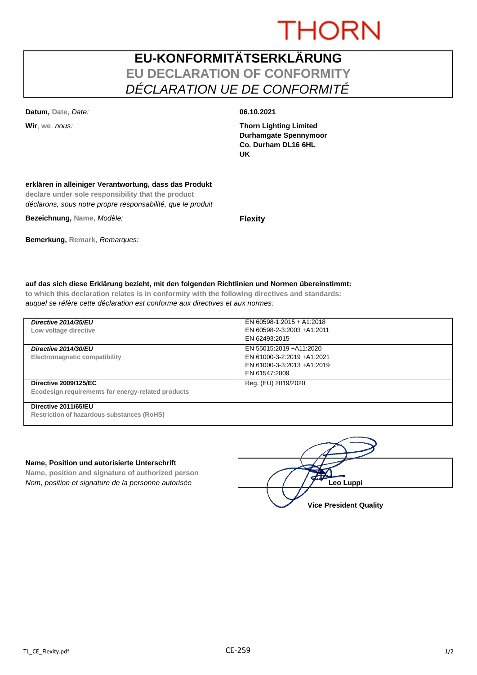# **THORN**

## **EU-KONFORMITÄTSERKLÄRUNG EU DECLARATION OF CONFORMITY** *DÉCLARATION UE DE CONFORMITÉ*

**Datum, Date,** *Date:* **06.10.2021**

**Wir**, **we**, *nous:* **Thorn Lighting Limited Durhamgate Spennymoor Co. Durham DL16 6HL UK**

### **erklären in alleiniger Verantwortung, dass das Produkt**

**declare under sole responsibility that the product** *déclarons, sous notre propre responsabilité, que le produit*

**Bezeichnung, Name,** *Modèle:* **Flexity**

**Bemerkung, Remark,** *Remarques:*

### **auf das sich diese Erklärung bezieht, mit den folgenden Richtlinien und Normen übereinstimmt:**

**to which this declaration relates is in conformity with the following directives and standards:** *auquel se réfère cette déclaration est conforme aux directives et aux normes:*

| Directive 2014/35/EU<br>Low voltage directive                                      | EN 60598-1:2015 + A1:2018<br>EN 60598-2-3:2003 +A1:2011<br>EN 62493:2015                             |
|------------------------------------------------------------------------------------|------------------------------------------------------------------------------------------------------|
| Directive 2014/30/EU<br>Electromagnetic compatibility                              | EN 55015:2019 +A11:2020<br>EN 61000-3-2:2019 +A1:2021<br>EN 61000-3-3:2013 +A1:2019<br>EN 61547:2009 |
| <b>Directive 2009/125/EC</b><br>Ecodesign requirements for energy-related products | Reg. (EU) 2019/2020                                                                                  |
| Directive 2011/65/EU<br><b>Restriction of hazardous substances (RoHS)</b>          |                                                                                                      |

#### **Name, Position und autorisierte Unterschrift**

**Name, position and signature of authorized person** *Nom, position et signature de la personne autorisée*  $\left| \begin{array}{cc} | & | & | \end{array} \right|$  / / / **/ Leo Luppi** 

**Vice President Quality**